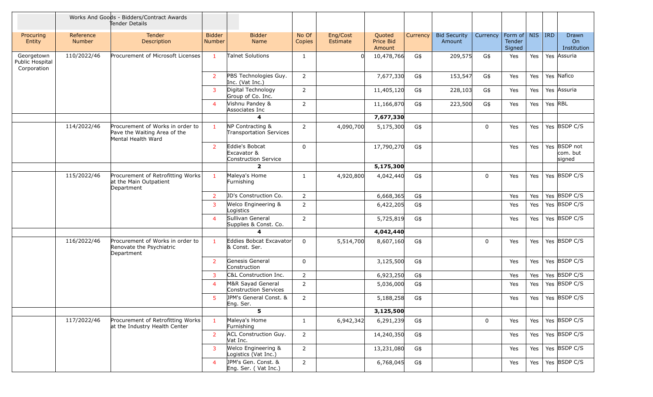|                                              | Works And Goods - Bidders/Contract Awards<br>Tender Details |                                                                                        |                                |                                                       |                 |                      |                               |          |                               |             |                                                |     |                                    |  |
|----------------------------------------------|-------------------------------------------------------------|----------------------------------------------------------------------------------------|--------------------------------|-------------------------------------------------------|-----------------|----------------------|-------------------------------|----------|-------------------------------|-------------|------------------------------------------------|-----|------------------------------------|--|
| Procuring<br>Entity                          | Reference<br>Number                                         | <b>Tender</b><br><b>Description</b>                                                    | <b>Bidder</b><br><b>Number</b> | <b>Bidder</b><br>Name                                 | No Of<br>Copies | Eng/Cost<br>Estimate | Quoted<br>Price Bid<br>Amount | Currency | <b>Bid Security</b><br>Amount | Currency    | Form of   NIS   IRD<br><b>Tender</b><br>Signed |     | Drawn<br>On<br>Institution         |  |
| Georgetown<br>Public Hospital<br>Corporation | 110/2022/46                                                 | Procurement of Microsoft Licenses                                                      | $\mathbf{1}$                   | <b>Talnet Solutions</b>                               | 1               |                      | 10,478,766                    | G\$      | 209,575                       | G\$         | Yes                                            | Yes | Yes Assuria                        |  |
|                                              |                                                             |                                                                                        | $\overline{2}$                 | PBS Technologies Guy.<br>Inc. (Vat Inc.)              | 2               |                      | 7,677,330                     | G\$      | 153,547                       | G\$         | Yes                                            | Yes | Yes Nafico                         |  |
|                                              |                                                             |                                                                                        | $\mathbf{3}$                   | Digital Technology<br>Group of Co. Inc.               | 2               |                      | 11,405,120                    | G\$      | 228,103                       | G\$         | Yes                                            | Yes | Yes Assuria                        |  |
|                                              |                                                             |                                                                                        | $\overline{4}$                 | Vishnu Pandey &<br>Associates Inc                     | $\overline{2}$  |                      | 11,166,870                    | G\$      | 223,500                       | G\$         | Yes                                            | Yes | Yes RBL                            |  |
|                                              |                                                             |                                                                                        |                                | 4                                                     |                 |                      | 7,677,330                     |          |                               |             |                                                |     |                                    |  |
|                                              | 114/2022/46                                                 | Procurement of Works in order to<br>Pave the Waiting Area of the<br>Mental Health Ward | $\mathbf{1}$                   | NP Contracting &<br>Transportation Services           | 2               | 4,090,700            | 5,175,300                     | G\$      |                               | $\mathbf 0$ | Yes                                            | Yes | Yes BSDP C/S                       |  |
|                                              |                                                             |                                                                                        | $\overline{2}$                 | Eddie's Bobcat<br>Excavator &<br>Construction Service | 0               |                      | 17,790,270                    | G\$      |                               |             | Yes                                            | Yes | Yes BSDP not<br>com. but<br>signed |  |
|                                              |                                                             |                                                                                        |                                | $\overline{2}$                                        |                 |                      | 5,175,300                     |          |                               |             |                                                |     |                                    |  |
|                                              | 115/2022/46                                                 | Procurement of Retrofitting Works<br>at the Main Outpatient<br>Department              | -1                             | Maleya's Home<br>Furnishing                           | 1               | 4,920,800            | 4,042,440                     | G\$      |                               | $\Omega$    | Yes                                            | Yes | Yes BSDP C/S                       |  |
|                                              |                                                             |                                                                                        | $\overline{2}$                 | <b>JD's Construction Co.</b>                          | $\overline{2}$  |                      | 6,668,365                     | G\$      |                               |             | Yes                                            | Yes | Yes BSDP C/S                       |  |
|                                              |                                                             |                                                                                        | $\overline{3}$                 | Welco Engineering &<br>Logistics                      | $\overline{2}$  |                      | 6,422,205                     | G\$      |                               |             | Yes                                            | Yes | Yes BSDP C/S                       |  |
|                                              |                                                             |                                                                                        | $\overline{4}$                 | Sullivan General<br>Supplies & Const. Co.             | 2               |                      | 5,725,819                     | G\$      |                               |             | Yes                                            | Yes | Yes BSDP C/S                       |  |
|                                              |                                                             |                                                                                        |                                | $\boldsymbol{\Lambda}$                                |                 |                      | 4,042,440                     |          |                               |             |                                                |     |                                    |  |
|                                              | 116/2022/46                                                 | Procurement of Works in order to<br>Renovate the Psychiatric<br>Department             | $\mathbf{1}$                   | Eddies Bobcat Excavator<br>& Const. Ser.              | 0               | 5,514,700            | 8,607,160                     | G\$      |                               | $\mathbf 0$ | Yes                                            | Yes | Yes BSDP C/S                       |  |
|                                              |                                                             |                                                                                        | $\overline{2}$                 | Genesis General<br>Construction                       | 0               |                      | 3,125,500                     | G\$      |                               |             | Yes                                            | Yes | Yes BSDP C/S                       |  |
|                                              |                                                             |                                                                                        | $\mathbf{3}$                   | C&L Construction Inc.                                 | $\overline{2}$  |                      | 6,923,250                     | G\$      |                               |             | Yes                                            | Yes | Yes BSDP C/S                       |  |
|                                              |                                                             |                                                                                        | $\overline{4}$                 | M&R Sayad General<br>Construction Services            | 2               |                      | 5,036,000                     | G\$      |                               |             | Yes                                            | Yes | Yes BSDP C/S                       |  |
|                                              |                                                             |                                                                                        | 5                              | JPM's General Const. &<br>⊫ng. Ser.                   | 2               |                      | 5,188,258                     | G\$      |                               |             | Yes                                            | Yes | Yes BSDP C/S                       |  |
|                                              |                                                             |                                                                                        |                                | 5                                                     |                 |                      | 3,125,500                     |          |                               |             |                                                |     |                                    |  |
|                                              | 117/2022/46                                                 | Procurement of Retrofitting Works<br>at the Industry Health Center                     | $\mathbf{1}$                   | Maleya's Home<br>Furnishing                           | $\mathbf{1}$    | 6,942,342            | 6,291,239                     | G\$      |                               | $\mathbf 0$ | Yes                                            | Yes | Yes BSDP C/S                       |  |
|                                              |                                                             |                                                                                        | $\overline{2}$                 | <b>ACL Construction Guy.</b><br>Vat Inc.              | $\overline{2}$  |                      | 14,240,350                    | G\$      |                               |             | Yes                                            | Yes | Yes BSDP C/S                       |  |
|                                              |                                                             |                                                                                        | $\mathbf{3}$                   | Welco Engineering &<br>Logistics (Vat Inc.)           | $\overline{2}$  |                      | 13,231,080                    | G\$      |                               |             | Yes                                            | Yes | Yes BSDP C/S                       |  |
|                                              |                                                             |                                                                                        | $\overline{4}$                 | JPM's Gen. Const. &<br>Eng. Ser. (Vat Inc.)           | $\overline{2}$  |                      | 6,768,045                     | G\$      |                               |             | Yes                                            | Yes | Yes BSDP C/S                       |  |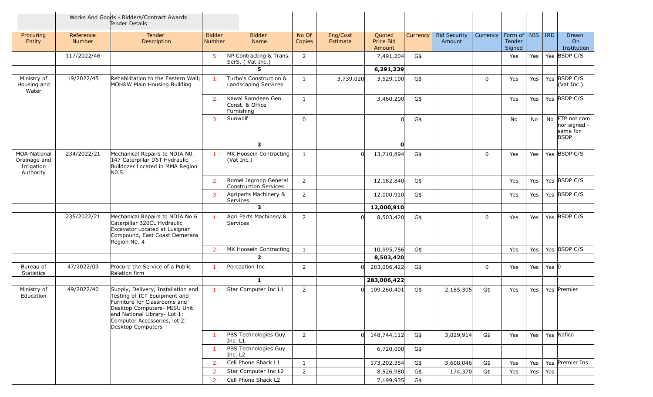|                                                         |                            | Works And Goods - Bidders/Contract Awards<br>Tender Details                                                                                                                                                             |                                |                                                     |                 |                      |                               |          |                               |             |                                                |     |           |                                                           |
|---------------------------------------------------------|----------------------------|-------------------------------------------------------------------------------------------------------------------------------------------------------------------------------------------------------------------------|--------------------------------|-----------------------------------------------------|-----------------|----------------------|-------------------------------|----------|-------------------------------|-------------|------------------------------------------------|-----|-----------|-----------------------------------------------------------|
| Procuring<br>Entity                                     | Reference<br><b>Number</b> | Tender<br>Description                                                                                                                                                                                                   | <b>Bidder</b><br><b>Number</b> | <b>Bidder</b><br>Name                               | No Of<br>Copies | Eng/Cost<br>Estimate | Quoted<br>Price Bid<br>Amount | Currency | <b>Bid Security</b><br>Amount | Currency    | Form of   NIS   IRD<br><b>Tender</b><br>Signed |     |           | Drawn<br>On<br>Institution                                |
|                                                         | 117/2022/46                |                                                                                                                                                                                                                         | 5                              | NP Contracting & Trans.<br>SerS. (Vat Inc.)         | $\overline{2}$  |                      | 7,491,204                     | G\$      |                               |             | Yes                                            | Yes |           | Yes BSDP C/S                                              |
|                                                         |                            |                                                                                                                                                                                                                         |                                | 5.                                                  |                 |                      | 6,291,239                     |          |                               |             |                                                |     |           |                                                           |
| Ministry of<br>Housing and<br>Water                     | 19/2022/45                 | Rehabilitation to the Eastern Wall:<br>MOH&W Main Housing Building                                                                                                                                                      | $\mathbf{1}$                   | Turbo's Construction &<br>Landscaping Services      | 1               | 3,739,020            | 3,529,100                     | G\$      |                               | $\mathbf 0$ | Yes                                            | Yes |           | Yes BSDP C/S<br>(Vat Inc.)                                |
|                                                         |                            |                                                                                                                                                                                                                         | $\overline{2}$                 | Kawal Ramdeen Gen.<br>Const. & Office<br>Furnishing | 1               |                      | 3,460,200                     | G\$      |                               |             | Yes                                            | Yes |           | Yes BSDP C/S                                              |
|                                                         |                            |                                                                                                                                                                                                                         | 3                              | Sunwolf                                             | $\mathbf 0$     |                      |                               | G\$      |                               |             | No                                             | No  |           | No FTP not com<br>nor signed -<br>same for<br><b>BSDP</b> |
|                                                         |                            |                                                                                                                                                                                                                         |                                | $\mathbf{3}$                                        |                 |                      | $\mathbf{0}$                  |          |                               |             |                                                |     |           |                                                           |
| MOA-National<br>Drainage and<br>Irrigation<br>Authority | 234/2022/21                | Mechanical Repairs to NDIA N0.<br>147 Caterpillar D6T Hydraulic<br>Bulldozer Located in MMA Region<br>N <sub>0</sub> .5                                                                                                 | $\mathbf{1}$                   | MK Hoosein Contracting<br>$($ Vat Inc. $)$          | $\mathbf{1}$    |                      | 13,710,894                    | G\$      |                               | $\mathbf 0$ | Yes                                            | Yes |           | Yes BSDP C/S                                              |
|                                                         |                            |                                                                                                                                                                                                                         | $\overline{2}$                 | Romel Jagroop General<br>Construction Services      | $\overline{2}$  |                      | 12,182,840                    | G\$      |                               |             | Yes                                            | Yes |           | Yes BSDP C/S                                              |
|                                                         |                            |                                                                                                                                                                                                                         | $\mathbf{3}$                   | Agriparts Machinery &<br>Services                   | 2               |                      | 12,000,910                    | G\$      |                               |             | Yes                                            | Yes |           | Yes BSDP C/S                                              |
|                                                         |                            |                                                                                                                                                                                                                         |                                | $\overline{\mathbf{3}}$                             |                 |                      | 12,000,910                    |          |                               |             |                                                |     |           |                                                           |
|                                                         | 235/2022/21                | Mechanical Repairs to NDIA No 6<br>Caterpillar 320CL Hydraulic<br>Excavator Located at Lusignan<br>Compound, East Coast Demerara<br>Region NO. 4                                                                        | $\mathbf{1}$                   | Agri Parts Machinery &<br>Services                  | $\overline{2}$  |                      | 8,503,420                     | G\$      |                               | $\mathbf 0$ | Yes                                            | Yes |           | Yes BSDP C/S                                              |
|                                                         |                            |                                                                                                                                                                                                                         | $\overline{2}$                 | MK Hoosein Contracting                              | 1               |                      | 10,995,756                    | G\$      |                               |             | Yes                                            | Yes |           | Yes BSDP C/S                                              |
|                                                         |                            |                                                                                                                                                                                                                         |                                | $\overline{2}$                                      |                 |                      | 8,503,420                     |          |                               |             |                                                |     |           |                                                           |
| Bureau of<br><b>Statistics</b>                          | 47/2022/03                 | Procure the Service of a Public<br>Relation firm                                                                                                                                                                        | 1                              | Perception Inc                                      | 2               |                      | 283,006,422                   | G\$      |                               | $\mathbf 0$ | Yes                                            | Yes | Yes $ 0 $ |                                                           |
|                                                         |                            |                                                                                                                                                                                                                         |                                | $\mathbf{1}$                                        |                 |                      | 283,006,422                   |          |                               |             |                                                |     |           |                                                           |
| Ministry of<br>Education                                | 49/2022/40                 | Supply, Delivery, Installation and<br>Testing of ICT Equipment and<br>Furniture for Classrooms and<br>Desktop Computers- MISU Unit<br>and National Library- Lot 1:<br>Computer Accessories, lot 2:<br>Desktop Computers | $\mathbf{1}$                   | Star Computer Inc L1                                | 2               | U                    | 109,260,401                   | G\$      | 2,185,305                     | G\$         | Yes                                            | Yes |           | Yes Premier                                               |
|                                                         |                            |                                                                                                                                                                                                                         | 1                              | PBS Technologies Guy.<br>Inc. L1                    | $\overline{2}$  |                      | 148,744,112                   | G\$      | 3,029,914                     | G\$         | Yes                                            | Yes |           | Yes Nafico                                                |
|                                                         |                            |                                                                                                                                                                                                                         | 1                              | PBS Technologies Guy.<br>Inc. L <sub>2</sub>        |                 |                      | 6,720,000                     | G\$      |                               |             |                                                |     |           |                                                           |
|                                                         |                            |                                                                                                                                                                                                                         | $2^{\circ}$                    | Cell Phone Shack L1                                 | $\mathbf{1}$    |                      | 173,202,354                   | G\$      | 3,608,046                     | G\$         | Yes                                            | Yes |           | Yes Premier Ins                                           |
|                                                         |                            |                                                                                                                                                                                                                         | $\overline{2}$                 | Star Computer Inc L2                                | $\overline{2}$  |                      | 8,526,980                     | G\$      | 174,370                       | G\$         | Yes                                            | Yes | Yes       |                                                           |
|                                                         |                            |                                                                                                                                                                                                                         | 2 <sup>1</sup>                 | Cell Phone Shack L2                                 |                 |                      | 7,199,935                     | G\$      |                               |             |                                                |     |           |                                                           |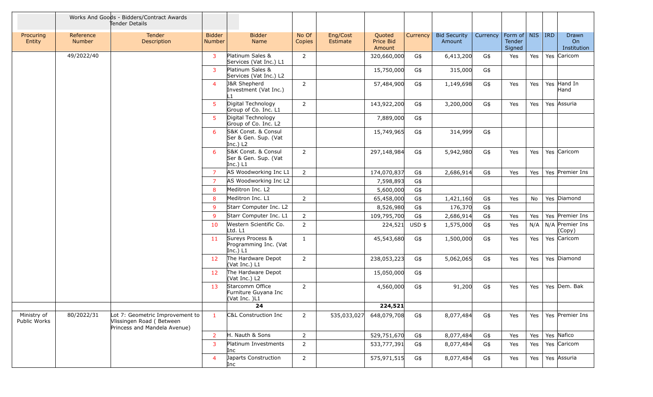|                             |                     | Works And Goods - Bidders/Contract Awards<br>Tender Details                                 |                                |                                                           |                 |                      |                               |                 |                               |          |                                 |            |            |                            |
|-----------------------------|---------------------|---------------------------------------------------------------------------------------------|--------------------------------|-----------------------------------------------------------|-----------------|----------------------|-------------------------------|-----------------|-------------------------------|----------|---------------------------------|------------|------------|----------------------------|
| Procuring<br>Entity         | Reference<br>Number | Tender<br>Description                                                                       | <b>Bidder</b><br><b>Number</b> | <b>Bidder</b><br>Name                                     | No Of<br>Copies | Eng/Cost<br>Estimate | Quoted<br>Price Bid<br>Amount | <b>Currency</b> | <b>Bid Security</b><br>Amount | Currency | Form of NIS<br>Tender<br>Signed |            | <b>IRD</b> | Drawn<br>On<br>Institution |
|                             | 49/2022/40          |                                                                                             | 3                              | Platinum Sales &<br>Services (Vat Inc.) L1                | 2               |                      | 320,660,000                   | G\$             | 6,413,200                     | G\$      | Yes                             | Yes        |            | Yes Caricom                |
|                             |                     |                                                                                             | $\mathbf{3}$                   | Platinum Sales &<br>Services (Vat Inc.) L2                |                 |                      | 15,750,000                    | G\$             | 315,000                       | G\$      |                                 |            |            |                            |
|                             |                     |                                                                                             | $\overline{4}$                 | J&R Shepherd<br>Investment (Vat Inc.)                     | 2               |                      | 57,484,900                    | G\$             | 1,149,698                     | G\$      | Yes                             | Yes        |            | Yes Hand In<br>Hand        |
|                             |                     |                                                                                             | $5^{\circ}$                    | Digital Technology<br>Group of Co. Inc. L1                | $\overline{2}$  |                      | 143,922,200                   | G\$             | 3,200,000                     | G\$      | Yes                             | <b>Yes</b> |            | Yes Assuria                |
|                             |                     |                                                                                             | 5 <sup>1</sup>                 | Digital Technology<br>Group of Co. Inc. L2                |                 |                      | 7,889,000                     | G\$             |                               |          |                                 |            |            |                            |
|                             |                     |                                                                                             | 6                              | S&K Const. & Consul<br>Ser & Gen. Sup. (Vat<br>Inc.) $L2$ |                 |                      | 15,749,965                    | G\$             | 314,999                       | G\$      |                                 |            |            |                            |
|                             |                     |                                                                                             | 6                              | S&K Const. & Consul<br>Ser & Gen. Sup. (Vat<br>Inc.) L1   | $\overline{2}$  |                      | 297,148,984                   | G\$             | 5,942,980                     | G\$      | Yes                             | Yes        |            | Yes Caricom                |
|                             |                     |                                                                                             | $\overline{7}$                 | AS Woodworking Inc L1                                     | $\overline{2}$  |                      | 174,070,837                   | G\$             | 2,686,914                     | G\$      | Yes                             | Yes        |            | Yes Premier Ins            |
|                             |                     |                                                                                             | $\overline{7}$                 | AS Woodworking Inc L2                                     |                 |                      | 7,598,893                     | G\$             |                               |          |                                 |            |            |                            |
|                             |                     |                                                                                             | 8                              | Meditron Inc. L2                                          |                 |                      | 5,600,000                     | G\$             |                               |          |                                 |            |            |                            |
|                             |                     |                                                                                             | 8                              | Meditron Inc. L1                                          | $\overline{2}$  |                      | 65,458,000                    | G\$             | 1,421,160                     | G\$      | Yes                             | No         |            | Yes Diamond                |
|                             |                     |                                                                                             | $\overline{9}$                 | Starr Computer Inc. L2                                    |                 |                      | 8,526,980                     | G\$             | 176,370                       | G\$      |                                 |            |            |                            |
|                             |                     |                                                                                             | 9                              | Starr Computer Inc. L1                                    | 2               |                      | 109,795,700                   | G\$             | 2,686,914                     | G\$      | Yes                             | Yes        |            | Yes Premier Ins            |
|                             |                     |                                                                                             | 10                             | Western Scientific Co.<br>Ltd. L1                         | $\overline{2}$  |                      | 224,521                       | $USD$ \$        | 1,575,000                     | G\$      | Yes                             | N/A        |            | N/A Premier Ins<br>(Copy)  |
|                             |                     |                                                                                             | 11                             | Sureys Process &<br>Programming Inc. (Vat<br>Inc.) $L1$   | 1               |                      | 45,543,680                    | G\$             | 1,500,000                     | G\$      | Yes                             | Yes        |            | Yes Caricom                |
|                             |                     |                                                                                             | 12                             | The Hardware Depot<br>(Vat Inc.) L1                       | 2               |                      | 238,053,223                   | G\$             | 5,062,065                     | G\$      | Yes                             | Yes        |            | Yes Diamond                |
|                             |                     |                                                                                             | 12                             | The Hardware Depot<br>(Vat Inc.) L2                       |                 |                      | 15,050,000                    | G\$             |                               |          |                                 |            |            |                            |
|                             |                     |                                                                                             | 13                             | Starcomm Office<br>Furniture Guyana Inc<br>(Vat Inc. )L1  | $\overline{2}$  |                      | 4,560,000                     | G\$             | 91,200                        | G\$      | Yes                             | Yes        |            | Yes Dem. Bak               |
|                             |                     |                                                                                             |                                | 24                                                        |                 |                      | 224,521                       |                 |                               |          |                                 |            |            |                            |
| Ministry of<br>Public Works | 80/2022/31          | Lot 7: Geometric Improvement to<br>Vlissingen Road (Between<br>Princess and Mandela Avenue) | $\mathbf{1}$                   | C&L Construction Inc                                      | $\overline{2}$  | 535,033,027          | 648,079,708                   | G\$             | 8,077,484                     | G\$      | Yes                             | Yes        |            | Yes Premier Ins            |
|                             |                     |                                                                                             | $\overline{2}$                 | H. Nauth & Sons                                           | $\overline{2}$  |                      | 529,751,670                   | G\$             | 8,077,484                     | G\$      | Yes                             | Yes        |            | Yes Nafico                 |
|                             |                     |                                                                                             | 3                              | Platinum Investments<br>Inc                               | $\mathbf 2$     |                      | 533,777,391                   | G\$             | 8,077,484                     | G\$      | Yes                             | Yes        |            | Yes Caricom                |
|                             |                     |                                                                                             | $\overline{4}$                 | Japarts Construction<br>Inc                               | $\overline{2}$  |                      | 575,971,515                   | G\$             | 8,077,484                     | G\$      | Yes                             | Yes        |            | Yes Assuria                |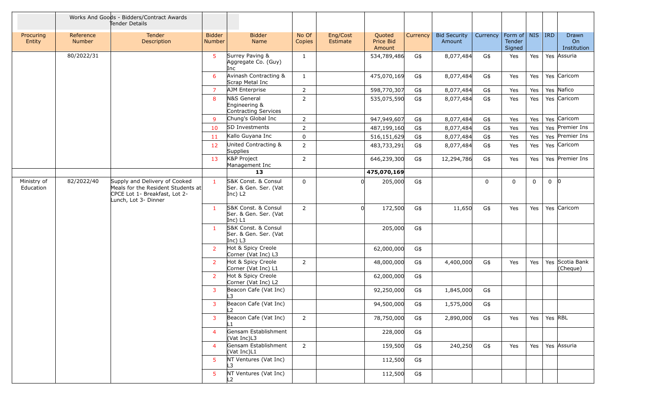|                          |                            | Works And Goods - Bidders/Contract Awards<br>Tender Details                                                                  |                         |                                                            |                 |                      |                                      |          |                               |          |                                                |             |             |                                               |
|--------------------------|----------------------------|------------------------------------------------------------------------------------------------------------------------------|-------------------------|------------------------------------------------------------|-----------------|----------------------|--------------------------------------|----------|-------------------------------|----------|------------------------------------------------|-------------|-------------|-----------------------------------------------|
| Procuring<br>Entity      | Reference<br><b>Number</b> | Tender<br>Description                                                                                                        | <b>Bidder</b><br>Number | <b>Bidder</b><br><b>Name</b>                               | No Of<br>Copies | Eng/Cost<br>Estimate | Quoted<br><b>Price Bid</b><br>Amount | Currency | <b>Bid Security</b><br>Amount | Currency | Form of   NIS   IRD<br><b>Tender</b><br>Signed |             |             | Drawn<br>O <sub>n</sub><br><b>Institution</b> |
|                          | 80/2022/31                 |                                                                                                                              | 5                       | Surrey Paving &<br>Aggregate Co. (Guy)<br>Inc              | $\mathbf{1}$    |                      | 534,789,486                          | G\$      | 8,077,484                     | G\$      | Yes                                            | Yes         |             | Yes Assuria                                   |
|                          |                            |                                                                                                                              | 6                       | Avinash Contracting &<br>Scrap Metal Inc                   | $\mathbf{1}$    |                      | 475,070,169                          | G\$      | 8,077,484                     | G\$      | Yes                                            | Yes         |             | Yes Caricom                                   |
|                          |                            |                                                                                                                              | $\overline{7}$          | AJM Enterprise                                             | $\overline{2}$  |                      | 598,770,307                          | G\$      | 8,077,484                     | G\$      | Yes                                            | Yes         |             | Yes Nafico                                    |
|                          |                            |                                                                                                                              | 8                       | N&S General<br>Engineering &<br>Contracting Services       | $\overline{2}$  |                      | 535,075,590                          | G\$      | 8,077,484                     | G\$      | Yes                                            | Yes         |             | Yes Caricom                                   |
|                          |                            |                                                                                                                              | 9                       | Chung's Global Inc                                         | $\overline{2}$  |                      | 947,949,607                          | G\$      | 8,077,484                     | G\$      | Yes                                            | Yes         |             | Yes Caricom                                   |
|                          |                            |                                                                                                                              | 10                      | SD Investments                                             | $\overline{2}$  |                      | 487,199,160                          | G\$      | 8,077,484                     | G\$      | Yes                                            | Yes         |             | Yes Premier Ins                               |
|                          |                            |                                                                                                                              | 11                      | Kallo Guyana Inc                                           | $\mathbf 0$     |                      | 516,151,629                          | G\$      | 8,077,484                     | G\$      | Yes                                            | Yes         |             | Yes Premier Ins                               |
|                          |                            |                                                                                                                              | 12                      | United Contracting &<br>Supplies                           | $\overline{2}$  |                      | 483,733,291                          | G\$      | 8,077,484                     | G\$      | Yes                                            | Yes         |             | Yes Caricom                                   |
|                          |                            |                                                                                                                              | 13                      | K&P Project<br>Management Inc                              | $\overline{2}$  |                      | 646,239,300                          | G\$      | 12,294,786                    | G\$      | Yes                                            | Yes         |             | Yes Premier Ins                               |
|                          |                            |                                                                                                                              |                         | 13                                                         |                 |                      | 475,070,169                          |          |                               |          |                                                |             |             |                                               |
| Ministry of<br>Education | 82/2022/40                 | Supply and Delivery of Cooked<br>Meals for the Resident Students at<br>CPCE Lot 1- Breakfast, Lot 2-<br>Lunch, Lot 3- Dinner | $\mathbf{1}$            | S&K Const. & Consul<br>Ser. & Gen. Ser. (Vat<br>$ Inc)$ L2 | $\mathbf 0$     |                      | 205,000                              | G\$      |                               | $\Omega$ | $\mathbf 0$                                    | $\mathbf 0$ | $0 \vert 0$ |                                               |
|                          |                            |                                                                                                                              | $\mathbf{1}$            | S&K Const. & Consul<br>Ser. & Gen. Ser. (Vat<br>Inc) $L1$  | $\overline{2}$  | $\Omega$             | 172,500                              | G\$      | 11,650                        | G\$      | Yes                                            | Yes         |             | Yes Caricom                                   |
|                          |                            |                                                                                                                              | $\mathbf{1}$            | S&K Const. & Consul<br>Ser. & Gen. Ser. (Vat<br>Inc) $L3$  |                 |                      | 205,000                              | G\$      |                               |          |                                                |             |             |                                               |
|                          |                            |                                                                                                                              | 2 <sup>1</sup>          | Hot & Spicy Creole<br>Corner (Vat Inc) L3                  |                 |                      | 62,000,000                           | G\$      |                               |          |                                                |             |             |                                               |
|                          |                            |                                                                                                                              | $2^{\circ}$             | Hot & Spicy Creole<br>Corner (Vat Inc) L1                  | 2               |                      | 48,000,000                           | G\$      | 4,400,000                     | G\$      | Yes                                            | Yes         |             | Yes Scotia Bank<br>(Cheque)                   |
|                          |                            |                                                                                                                              | $\overline{2}$          | Hot & Spicy Creole<br>Corner (Vat Inc) L2                  |                 |                      | 62,000,000                           | G\$      |                               |          |                                                |             |             |                                               |
|                          |                            |                                                                                                                              | 3                       | Beacon Cafe (Vat Inc)<br>L3                                |                 |                      | 92,250,000                           | G\$      | 1,845,000                     | G\$      |                                                |             |             |                                               |
|                          |                            |                                                                                                                              | 3                       | Beacon Cafe (Vat Inc)                                      |                 |                      | 94,500,000                           | G\$      | 1,575,000                     | G\$      |                                                |             |             |                                               |
|                          |                            |                                                                                                                              | 3 <sup>1</sup>          | Beacon Cafe (Vat Inc)                                      | $\overline{2}$  |                      | 78,750,000                           | G\$      | 2,890,000                     | G\$      | Yes                                            | Yes         | Yes RBL     |                                               |
|                          |                            |                                                                                                                              | $\overline{4}$          | Gensam Establishment<br>(Vat Inc)L3                        |                 |                      | 228,000                              | G\$      |                               |          |                                                |             |             |                                               |
|                          |                            |                                                                                                                              | $\overline{4}$          | Gensam Establishment<br>(Vat Inc)L1                        | $\overline{2}$  |                      | 159,500                              | G\$      | 240,250                       | G\$      | Yes                                            | Yes         |             | Yes Assuria                                   |
|                          |                            |                                                                                                                              | 5                       | NT Ventures (Vat Inc)<br>L3                                |                 |                      | 112,500                              | G\$      |                               |          |                                                |             |             |                                               |
|                          |                            |                                                                                                                              | 5                       | NT Ventures (Vat Inc)<br>L2.                               |                 |                      | 112,500                              | G\$      |                               |          |                                                |             |             |                                               |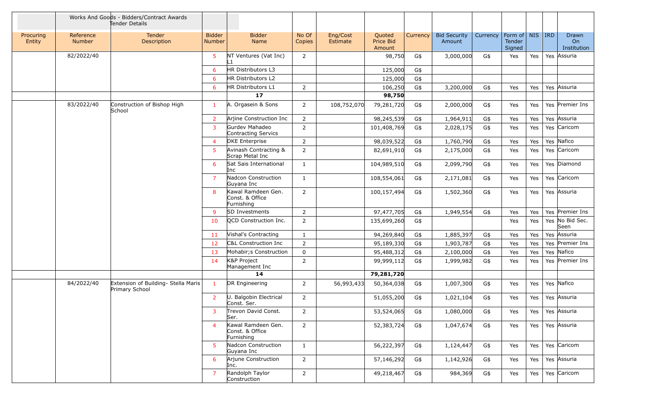|                     | Works And Goods - Bidders/Contract Awards<br>Tender Details |                                                       |                                |                                                     |                 |                      |                               |          |                               |          |                                                     |     |                            |
|---------------------|-------------------------------------------------------------|-------------------------------------------------------|--------------------------------|-----------------------------------------------------|-----------------|----------------------|-------------------------------|----------|-------------------------------|----------|-----------------------------------------------------|-----|----------------------------|
| Procuring<br>Entity | Reference<br>Number                                         | Tender<br>Description                                 | <b>Bidder</b><br><b>Number</b> | <b>Bidder</b><br>Name                               | No Of<br>Copies | Eng/Cost<br>Estimate | Quoted<br>Price Bid<br>Amount | Currency | <b>Bid Security</b><br>Amount | Currency | Form of $\vert$ NIS $\vert$ IRD<br>Tender<br>Signed |     | Drawn<br>On<br>Institution |
|                     | 82/2022/40                                                  |                                                       | 5                              | NT Ventures (Vat Inc)<br>l 1                        | 2               |                      | 98,750                        | G\$      | 3,000,000                     | G\$      | Yes                                                 | Yes | Yes Assuria                |
|                     |                                                             |                                                       | 6                              | HR Distributors L3                                  |                 |                      | 125,000                       | G\$      |                               |          |                                                     |     |                            |
|                     |                                                             |                                                       | 6                              | HR Distributors L2                                  |                 |                      | 125,000                       | G\$      |                               |          |                                                     |     |                            |
|                     |                                                             |                                                       | 6                              | HR Distributors L1                                  | $\overline{2}$  |                      | 106,250                       | G\$      | 3,200,000                     | G\$      | Yes                                                 | Yes | Yes Assuria                |
|                     |                                                             |                                                       |                                | 17                                                  |                 |                      | 98,750                        |          |                               |          |                                                     |     |                            |
|                     | 83/2022/40                                                  | Construction of Bishop High<br>School                 | $\mathbf{1}$                   | A. Orgasein & Sons                                  | 2               | 108,752,070          | 79,281,720                    | G\$      | 2,000,000                     | G\$      | Yes                                                 | Yes | Yes Premier Ins            |
|                     |                                                             |                                                       | $\overline{2}$                 | Arjine Construction Inc                             | $\overline{2}$  |                      | 98,245,539                    | G\$      | 1,964,911                     | G\$      | Yes                                                 | Yes | Yes Assuria                |
|                     |                                                             |                                                       | 3                              | Gurdey Mahadeo<br>Contracting Servics               | 2               |                      | 101,408,769                   | G\$      | 2,028,175                     | G\$      | Yes                                                 | Yes | Yes Caricom                |
|                     |                                                             |                                                       | $\overline{4}$                 | <b>DKE</b> Enterprise                               | $\overline{2}$  |                      | 98,039,522                    | G\$      | 1,760,790                     | G\$      | Yes                                                 | Yes | Yes Nafico                 |
|                     |                                                             |                                                       | 5                              | Avinash Contracting &<br>Scrap Metal Inc            | $\mathbf 2$     |                      | 82,691,910                    | G\$      | 2,175,000                     | G\$      | Yes                                                 | Yes | Yes Caricom                |
|                     |                                                             |                                                       | 6                              | Sat Sais International<br>Inc                       | $\mathbf{1}$    |                      | 104,989,510                   | G\$      | 2,099,790                     | G\$      | Yes                                                 | Yes | Yes Diamond                |
|                     |                                                             |                                                       | $\overline{7}$                 | Nadcon Construction<br>Guyana Inc                   | 1               |                      | 108,554,061                   | G\$      | 2,171,081                     | G\$      | Yes                                                 | Yes | Yes Caricom                |
|                     |                                                             |                                                       | 8                              | Kawal Ramdeen Gen.<br>Const. & Office<br>Furnishing | $\overline{2}$  |                      | 100,157,494                   | G\$      | 1,502,360                     | G\$      | Yes                                                 | Yes | Yes Assuria                |
|                     |                                                             |                                                       | 9                              | <b>SD Investments</b>                               | $\overline{2}$  |                      | 97,477,705                    | G\$      | 1,949,554                     | G\$      | Yes                                                 | Yes | Yes Premier Ins            |
|                     |                                                             |                                                       | 10                             | <b>OCD</b> Construction Inc.                        | 2               |                      | 135,699,260                   | G\$      |                               |          | Yes                                                 | Yes | Yes No Bid Sec.<br>Seen    |
|                     |                                                             |                                                       | 11                             | Vishal's Contracting                                | 1               |                      | 94,269,840                    | G\$      | 1,885,397                     | G\$      | Yes                                                 | Yes | Yes Assuria                |
|                     |                                                             |                                                       | 12                             | C&L Construction Inc                                | $\overline{2}$  |                      | 95,189,330                    | G\$      | 1,903,787                     | G\$      | Yes                                                 | Yes | Yes Premier Ins            |
|                     |                                                             |                                                       | 13                             | Mohabir; s Construction                             | $\mathbf 0$     |                      | 95,488,312                    | G\$      | 2,100,000                     | G\$      | Yes                                                 | Yes | Yes Nafico                 |
|                     |                                                             |                                                       | 14                             | K&P Project<br>Management Inc                       | 2               |                      | 99,999,112                    | G\$      | 1,999,982                     | G\$      | Yes                                                 | Yes | Yes Premier Ins            |
|                     |                                                             |                                                       |                                | 14                                                  |                 |                      | 79,281,720                    |          |                               |          |                                                     |     |                            |
|                     | 84/2022/40                                                  | Extension of Building- Stella Maris<br>Primary School | $\mathbf{1}$                   | DR Engineering                                      | 2               | 56,993,433           | 50,364,038                    | G\$      | 1,007,300                     | G\$      | Yes                                                 | Yes | Yes Nafico                 |
|                     |                                                             |                                                       | $\overline{2}$                 | U. Balgobin Electrical<br>Const. Ser.               | $\overline{2}$  |                      | 51,055,200                    | G\$      | 1,021,104                     | G\$      | Yes                                                 | Yes | Yes Assuria                |
|                     |                                                             |                                                       | 3                              | Trevon David Const.<br>Ser.                         | 2               |                      | 53,524,065                    | G\$      | 1,080,000                     | G\$      | Yes                                                 | Yes | Yes Assuria                |
|                     |                                                             |                                                       | $\overline{4}$                 | Kawal Ramdeen Gen.<br>Const. & Office<br>Furnishing | $\overline{2}$  |                      | 52,383,724                    | G\$      | 1,047,674                     | G\$      | Yes                                                 | Yes | Yes Assuria                |
|                     |                                                             |                                                       | 5.                             | Nadcon Construction<br>Guyana Inc                   | $\mathbf{1}$    |                      | 56,222,397                    | G\$      | 1,124,447                     | G\$      | Yes                                                 | Yes | Yes Caricom                |
|                     |                                                             |                                                       | 6                              | Arjune Construction<br>Inc.                         | 2               |                      | 57,146,292                    | G\$      | 1,142,926                     | G\$      | Yes                                                 | Yes | Yes Assuria                |
|                     |                                                             |                                                       | $\overline{7}$                 | Randolph Taylor<br>Construction                     | 2               |                      | 49,218,467                    | G\$      | 984,369                       | G\$      | Yes                                                 | Yes | Yes Caricom                |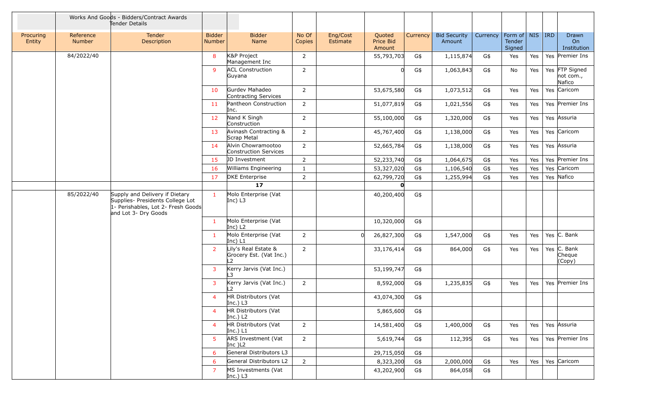|                     | Works And Goods - Bidders/Contract Awards<br>Tender Details |                                                                                                                                  |                                |                                                       |                 |                      |                               |          |                               |                                |                         |     |                                        |
|---------------------|-------------------------------------------------------------|----------------------------------------------------------------------------------------------------------------------------------|--------------------------------|-------------------------------------------------------|-----------------|----------------------|-------------------------------|----------|-------------------------------|--------------------------------|-------------------------|-----|----------------------------------------|
| Procuring<br>Entity | Reference<br><b>Number</b>                                  | Tender<br>Description                                                                                                            | <b>Bidder</b><br><b>Number</b> | <b>Bidder</b><br><b>Name</b>                          | No Of<br>Copies | Eng/Cost<br>Estimate | Quoted<br>Price Bid<br>Amount | Currency | <b>Bid Security</b><br>Amount | Currency   Form of   NIS   IRD | <b>Tender</b><br>Signed |     | Drawn<br>O <sub>n</sub><br>Institution |
|                     | 84/2022/40                                                  |                                                                                                                                  | 8                              | K&P Project<br>Management Inc                         | 2               |                      | 55,793,703                    | G\$      | 1,115,874                     | G\$                            | Yes                     | Yes | Yes Premier Ins                        |
|                     |                                                             |                                                                                                                                  | 9                              | <b>ACL Construction</b><br>Guyana                     | 2               |                      | $\Omega$                      | G\$      | 1,063,843                     | G\$                            | No                      | Yes | Yes FTP Signed<br>not com.,<br>Nafico  |
|                     |                                                             |                                                                                                                                  | 10                             | Gurdev Mahadeo<br>Contracting Services                | $\overline{2}$  |                      | 53,675,580                    | G\$      | 1,073,512                     | G\$                            | Yes                     | Yes | Yes Caricom                            |
|                     |                                                             |                                                                                                                                  | 11                             | Pantheon Construction<br>Inc.                         | $\overline{2}$  |                      | 51,077,819                    | G\$      | 1,021,556                     | G\$                            | Yes                     | Yes | Yes Premier Ins                        |
|                     |                                                             |                                                                                                                                  | 12 <sub>2</sub>                | Nand K Singh<br>Construction                          | $\overline{2}$  |                      | 55,100,000                    | G\$      | 1,320,000                     | G\$                            | Yes                     | Yes | Yes Assuria                            |
|                     |                                                             |                                                                                                                                  | 13                             | Avinash Contracting &<br>Scrap Metal                  | $\overline{2}$  |                      | 45,767,400                    | G\$      | 1,138,000                     | G\$                            | Yes                     | Yes | Yes Caricom                            |
|                     |                                                             |                                                                                                                                  | 14                             | Alvin Chowramootoo<br>Construction Services           | 2               |                      | 52,665,784                    | G\$      | 1,138,000                     | G\$                            | Yes                     | Yes | Yes Assuria                            |
|                     |                                                             |                                                                                                                                  | 15                             | JD Investment                                         | 2               |                      | 52,233,740                    | G\$      | 1,064,675                     | G\$                            | Yes                     | Yes | Yes Premier Ins                        |
|                     |                                                             |                                                                                                                                  | 16                             | Williams Engineering                                  | 1               |                      | 53,327,020                    | G\$      | 1,106,540                     | G\$                            | Yes                     | Yes | Yes Caricom                            |
|                     |                                                             |                                                                                                                                  | 17                             | <b>DKE</b> Enterprise                                 | 2               |                      | 62,799,720                    | G\$      | 1,255,994                     | G\$                            | Yes                     | Yes | Yes Nafico                             |
|                     |                                                             |                                                                                                                                  |                                | 17                                                    |                 |                      | O                             |          |                               |                                |                         |     |                                        |
|                     | 85/2022/40                                                  | Supply and Delivery if Dietary<br>Supplies- Presidents College Lot<br>1- Perishables, Lot 2- Fresh Goods<br>and Lot 3- Dry Goods | $\blacksquare$                 | Molo Enterprise (Vat<br>$ Inc)$ L3                    |                 |                      | 40,200,400                    | G\$      |                               |                                |                         |     |                                        |
|                     |                                                             |                                                                                                                                  | $\mathbf{1}$                   | Molo Enterprise (Vat<br>$ Inc)$ L2                    |                 |                      | 10,320,000                    | G\$      |                               |                                |                         |     |                                        |
|                     |                                                             |                                                                                                                                  | $\mathbf{1}$                   | Molo Enterprise (Vat<br>Inc) $L1$                     | $\overline{2}$  |                      | 26,827,300                    | G\$      | 1,547,000                     | G\$                            | Yes                     | Yes | Yes $ C.$ Bank                         |
|                     |                                                             |                                                                                                                                  | $2^{\circ}$                    | Lily's Real Estate &<br>Grocery Est. (Vat Inc.)<br>L2 | $\overline{2}$  |                      | 33,176,414                    | G\$      | 864,000                       | G\$                            | Yes                     | Yes | Yes $ C.$ Bank<br>Cheque<br>(Copy)     |
|                     |                                                             |                                                                                                                                  | 3                              | Kerry Jarvis (Vat Inc.)<br>L3                         |                 |                      | 53,199,747                    | G\$      |                               |                                |                         |     |                                        |
|                     |                                                             |                                                                                                                                  | 3                              | Kerry Jarvis (Vat Inc.)<br>12                         | 2               |                      | 8,592,000                     | G\$      | 1,235,835                     | G\$                            | Yes                     | Yes | Yes Premier Ins                        |
|                     |                                                             |                                                                                                                                  | 4                              | HR Distributors (Vat<br>Inc.) $L3$                    |                 |                      | 43,074,300                    | G\$      |                               |                                |                         |     |                                        |
|                     |                                                             |                                                                                                                                  | $\overline{4}$                 | HR Distributors (Vat<br>Inc.) $L2$                    |                 |                      | 5,865,600                     | G\$      |                               |                                |                         |     |                                        |
|                     |                                                             |                                                                                                                                  | $\overline{4}$                 | HR Distributors (Vat<br>Inc.) $L1$                    | $\overline{2}$  |                      | 14,581,400                    | G\$      | 1,400,000                     | G\$                            | Yes                     | Yes | Yes Assuria                            |
|                     |                                                             |                                                                                                                                  | 5.                             | ARS Investment (Vat<br>Inc $)$ L <sub>2</sub>         | $\overline{2}$  |                      | 5,619,744                     | G\$      | 112,395                       | G\$                            | Yes                     | Yes | Yes Premier Ins                        |
|                     |                                                             |                                                                                                                                  | 6                              | General Distributors L3                               |                 |                      | 29,715,050                    | G\$      |                               |                                |                         |     |                                        |
|                     |                                                             |                                                                                                                                  | 6                              | General Distributors L2                               | $\overline{2}$  |                      | 8,323,200                     | G\$      | 2,000,000                     | G\$                            | Yes                     | Yes | Yes Caricom                            |
|                     |                                                             |                                                                                                                                  | $\overline{7}$                 | MS Investments (Vat<br>Inc.) $L3$                     |                 |                      | 43,202,900                    | G\$      | 864,058                       | G\$                            |                         |     |                                        |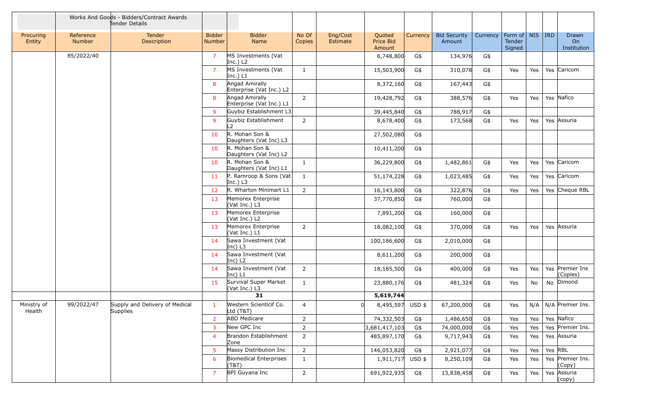|                       |                     | Works And Goods - Bidders/Contract Awards<br>Tender Details |                                |                                            |                 |                      |                               |          |                               |          |                                     |     |            |                              |
|-----------------------|---------------------|-------------------------------------------------------------|--------------------------------|--------------------------------------------|-----------------|----------------------|-------------------------------|----------|-------------------------------|----------|-------------------------------------|-----|------------|------------------------------|
| Procuring<br>Entity   | Reference<br>Number | Tender<br>Description                                       | <b>Bidder</b><br><b>Number</b> | <b>Bidder</b><br>Name                      | No Of<br>Copies | Eng/Cost<br>Estimate | Quoted<br>Price Bid<br>Amount | Currency | <b>Bid Security</b><br>Amount | Currency | Form of   NIS  <br>Tender<br>Signed |     | <b>IRD</b> | Drawn<br>On<br>Institution   |
|                       | 85/2022/40          |                                                             | $\overline{7}$                 | MS Investments (Vat<br>Inc.) $L2$          |                 |                      | 6,748,800                     | G\$      | 134,976                       | G\$      |                                     |     |            |                              |
|                       |                     |                                                             | $\overline{7}$                 | MS Investments (Vat<br>Inc.) L1            | $\mathbf{1}$    |                      | 15,503,900                    | G\$      | 310,078                       | G\$      | Yes                                 | Yes |            | Yes Caricom                  |
|                       |                     |                                                             | 8                              | Angad Amirally<br>Enterprise (Vat Inc.) L2 |                 |                      | 8,372,160                     | G\$      | 167,443                       | G\$      |                                     |     |            |                              |
|                       |                     |                                                             | 8                              | Angad Amirally<br>Enterprise (Vat Inc.) L1 | 2               |                      | 19,428,792                    | G\$      | 388,576                       | G\$      | Yes                                 | Yes |            | Yes Nafico                   |
|                       |                     |                                                             | 9                              | Guybiz Establishment L3                    |                 |                      | 39,445,840                    | G\$      | 788,917                       | G\$      |                                     |     |            |                              |
|                       |                     |                                                             | 9                              | Guybiz Establishment<br>$\overline{2}$     | $\overline{2}$  |                      | 8,678,400                     | G\$      | 173,568                       | G\$      | Yes                                 | Yes |            | Yes Assuria                  |
|                       |                     |                                                             | 10                             | R. Mohan Son &<br>Daughters (Vat Inc) L3   |                 |                      | 27,502,080                    | G\$      |                               |          |                                     |     |            |                              |
|                       |                     |                                                             | 10                             | R. Mohan Son &<br>Daughters (Vat Inc) L2   |                 |                      | 10,411,200                    | G\$      |                               |          |                                     |     |            |                              |
|                       |                     |                                                             | 10                             | R. Mohan Son &<br>Daughters (Vat Inc) L1   | 1               |                      | 36,229,800                    | G\$      | 1,482,861                     | G\$      | Yes                                 | Yes |            | Yes Caricom                  |
|                       |                     |                                                             | 11                             | P. Ramroop & Sons (Vat<br>Inc.) $L3$       | 1               |                      | 51,174,228                    | G\$      | 1,023,485                     | G\$      | Yes                                 | Yes |            | Yes Caricom                  |
|                       |                     |                                                             | 12                             | R. Wharton Minimart L1                     | $\overline{2}$  |                      | 16,143,800                    | G\$      | 322,876                       | G\$      | Yes                                 | Yes |            | Yes Cheque RBL               |
|                       |                     |                                                             | 13                             | Memorex Enterprise<br>(Vat Inc.) L3        |                 |                      | 37,770,850                    | G\$      | 760,000                       | G\$      |                                     |     |            |                              |
|                       |                     |                                                             | 13                             | Memorex Enterprise<br>(Vat Inc.) L2        |                 |                      | 7,891,200                     | G\$      | 160,000                       | G\$      |                                     |     |            |                              |
|                       |                     |                                                             | 13                             | Memorex Enterprise<br>(Vat Inc.) L1        | 2               |                      | 18,082,100                    | G\$      | 370,000                       | G\$      | Yes                                 | Yes |            | Yes Assuria                  |
|                       |                     |                                                             | 14                             | Sawa Investment (Vat<br>Inc) L3            |                 |                      | 100,186,600                   | G\$      | 2,010,000                     | G\$      |                                     |     |            |                              |
|                       |                     |                                                             | 14                             | Sawa Investment (Vat<br>Inc) $L2$          |                 |                      | 8,611,200                     | G\$      | 200,000                       | G\$      |                                     |     |            |                              |
|                       |                     |                                                             | 14                             | Sawa Investment (Vat<br>Inc) L1            | $\overline{2}$  |                      | 18,185,500                    | G\$      | 400,000                       | G\$      | Yes                                 | Yes |            | Yes Premier Ins<br>(Copies)  |
|                       |                     |                                                             | 15                             | Survival Super Market<br>(Vat Inc.) L3     | 1               |                      | 23,880,176                    | G\$      | 481,324                       | G\$      | Yes                                 | No  |            | No Dimond                    |
|                       |                     |                                                             |                                | 31                                         |                 |                      | 5,619,744                     |          |                               |          |                                     |     |            |                              |
| Ministry of<br>Health | 99/2022/47          | Supply and Delivery of Medical<br>Supplies                  |                                | Western Scienticif Co.<br>Ltd (T&T)        | 4               | 0                    | 8,495,597 USD \$              |          | 67,200,000                    | G\$      | Yes                                 |     |            | $N/A$   $N/A$   Premier Ins. |
|                       |                     |                                                             | $\overline{2}$                 | <b>ABD Medicare</b>                        | $\overline{2}$  |                      | 74,332,503                    | G\$      | 1,486,650                     | G\$      | Yes                                 | Yes |            | Yes Nafico                   |
|                       |                     |                                                             | 3                              | New GPC Inc                                | $\overline{2}$  |                      | 3,681,417,103                 | G\$      | 74,000,000                    | G\$      | Yes                                 | Yes |            | Yes Premier Ins.             |
|                       |                     |                                                             | 4                              | Brandon Establishment<br>Zone              | $\overline{2}$  |                      | 485,897,170                   | G\$      | 9,717,943                     | G\$      | Yes                                 | Yes |            | Yes Assuria                  |
|                       |                     |                                                             | 5                              | Massy Distribution Inc                     | $\overline{2}$  |                      | 146,053,820                   | G\$      | 2,921,077                     | G\$      | Yes                                 | Yes | Yes RBL    |                              |
|                       |                     |                                                             | 6                              | Biomedical Enterprises<br>(T&T)            | $\mathbf{1}$    |                      | 1,911,717                     | $USD$ \$ | 8,250,109                     | G\$      | Yes                                 | Yes |            | Yes Premier Ins.<br>(Copy)   |
|                       |                     |                                                             | $\overline{7}$                 | BPI Guyana Inc                             | $\overline{2}$  |                      | 691,922,935                   | G\$      | 13,838,458                    | G\$      | Yes                                 | Yes |            | Yes Assuria<br>(copy)        |